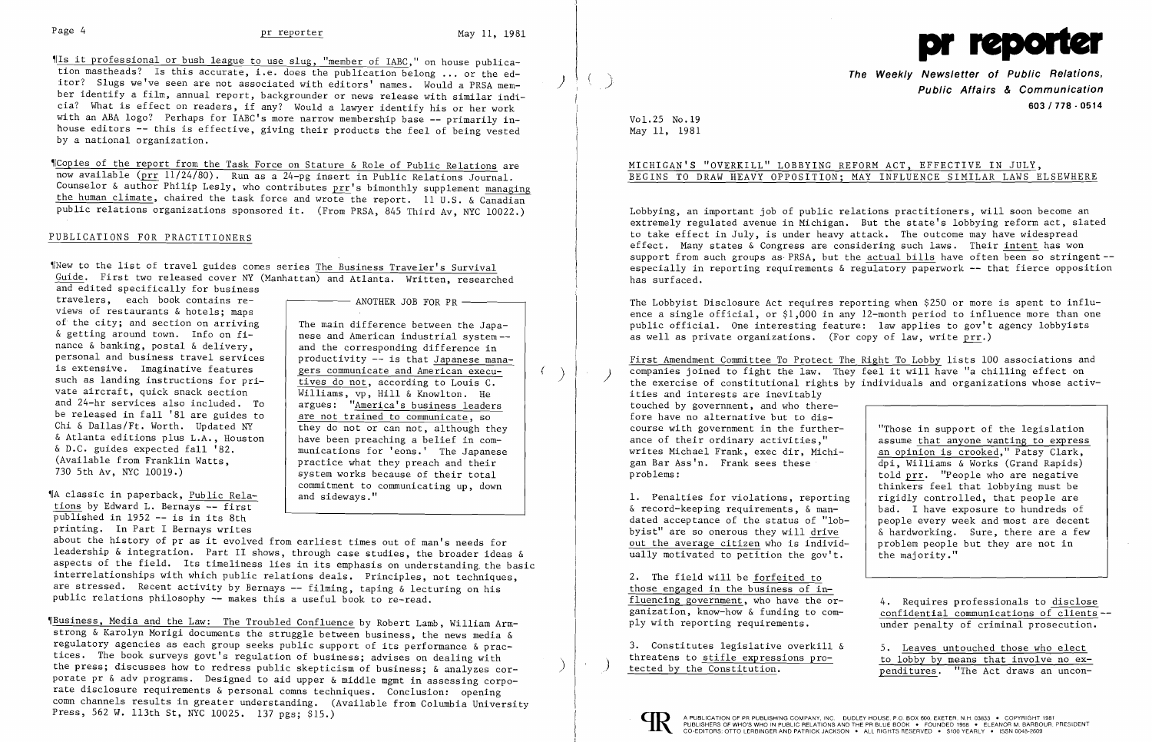~IIs it professional or bush league to use slug, "member of IABC," on house publication mastheads? Is this accurate, i.e. does the publication belong ... or the editor? Slugs we've seen are not associated with editors' names. Would a PRSA member identify a film, annual report, backgrounder or news release with similar indicia? What is effect on readers, if any? Would a lawyer identify his or her work with an ABA logo? Perhaps for IABC's more narrow membership base -- primarily inhouse editors -- this is effective, giving their products the feel of being vested by a national organization.

~[Copies of the report from the Task Force on Stature & Role of Public Relations are now available (prr 11/24/80). Run as a 24-pg insert in Public Relations Journal. Counselor & author Philip Lesly, who contributes  $\operatorname{prr}$ 's bimonthly supplement managing the human climate, chaired the task force and wrote the report. 11 U.S. & Canadian Ī public relations organizations sponsored it. (From PRSA, 845 Third Av, NYC 10022.)

#### PUBLICATIONS FOR PRACTITIONERS

~INew to the list of travel guides comes series The Business Traveler's Survival Guide. First two released cover NY (Manhattan) and Atlanta. Written, researched and edited specifically for business

travelers, each book contains re- $\overline{p}$   $\overline{p}$  and the JOB FOR PR -views of restaurants & hotels; maps<br>of the city; and section on arriving of the city; and section on arriving  $\delta$  and difference between the Japanance  $\&$  banking, postal  $\&$  delivery,  $\qquad$  and the corresponding difference in is extensive. Imaginative features  $\vert$  gers communicate and American execusuch as landing instructions for pri-<br>vate aircraft, quick snack section<br> $\overline{$  williams, vp. Hill & Knowlton. He and 24-hr services also included. To  $\parallel$  argues: "America's business leaders be released in fall '81 are guides to  $\frac{1}{\pi}$  are not trained to communicate, so Chi & Dallas/Ft. Worth. Updated NY Chi & Dallas/Ft. Worth. Updated NY they do not or can not, although they do although they com- $\delta$  Atlanta editions plus L.A., Houston | have been preaching a belief in com-<br> $\delta$  D.C. guides expected fall '82. & D.C. guides expected fall '82. The munications for 'eons.' The Japanese (Available from Franklin Watts,  $\overline{a}$  and their (Available from Franklin Watts,  $\begin{array}{c} \hline \text{} \\ \text{} \\ \text{} \end{array}$  practice what they preach and their<br>T30 5th Av, NYC 10019.) system works because of their total

"|A classic in paperback, Public Relations by Edward L. Bernays -- first published in 1952 -- is in its 8th printing. In Part I Bernays writes

nese and American industrial system-personal and business travel services  $|$  productivity -- is that Japanese mana-Williams, vp, Hill & Knowlton. He system works because of their total commitment to communicating up, down<br>and sideways."

~IBusiness, Media and the Law: The Troubled Confluence by Robert Lamb, William Armstrong & Karolyn Morigi documents the struggle between business, the news media & strong & Karolyn Morigi documents the struggle between business, the news media &<br>regulatory agencies as each group seeks public support of its performance & prac-<br>tices. The book surveys govt's regulation of business; adv tices. The book surveys govt's regulation of business; advises on dealing with<br>the press; discusses how to redress public skepticism of business; & analyzes corporate pr & adv programs. Designed to aid upper & middle mgmt in assessing corporate disclosure requirements & personal comns techniques. Conclusion: opening comn channels results in greater understanding. (Available from Columbia University Press, 562 W. 113th St, NYC 10025. 137 pgs; \$15.)

The Weekly Newsletter of Public Relations,<br>Public Affairs & Communication 603/778 - 0514

told prr. "People who are negative thinkers feel that lobbying must be 1. Penalties for violations, reporting | rigidly controlled, that people are  $\alpha$  record-keeping requirements,  $\alpha$  man- | bad. I have exposure to hundreds of  $\delta$  hardworking. Sure, there are a few

> confidential communications of clients-under penalty of criminal prosecution.

penditures. "The Act draws an uncon-

The Lobbyist Disclosure Act requires reporting when \$250 or more is spent to influ ence a single official, or \$1,000 in any 12-month period to influence more than one public official. One interesting feature: law applies to gov't agency lobbyists as well as private organizations. (For copy of law, write  $\text{prr.}$ )

First Amendment Committee To Protect The companies joined to fight the law. They feel it will have "a chilling effect on the exercise of constitutional rights by individuals and organizations whose activities and interests are inevitably touched by government, and who therefore have no alternative but to dis course with government in the further "Those in support of the legislation ance of their ordinary activities," assume that anyone wanting to express writes Michael Frank, exec dir, Michi- an opinion is crooked," Patsy Clark, writes Michael Frank, exec dir, Michi-<br>
gan Bar Ass'n. Frank sees these  $\frac{1}{1}$  an opinion is crooked," Patsy Clark, gan Bar Ass'n. Frank sees these  $\begin{array}{c|c} \text{dpi, Williams & Works (Grand Rapids)} \\ \text{told prr. "People who are negative)} \end{array}$ 

& record-keeping requirements, & mandated acceptance of the status of "lob people every week and most are decent out the average citizen who is individ- $\vert$  problem people but they are not in ually motivated to petition the gov't.  $|$  the majority."

about the history of pr as it evolved from earliest times out of man's needs for leadership & integration. Part II shows, through case studies, the broader ideas & aspects of the field. Its timeliness lies in its emphasis on understanding. the basic interrelationships with which public relations deals. Principles, not techniques, are stressed. Recent activity by Bernays -- filming, taping & lecturing on his public relations philosophy -- makes this a useful book to re-read.

2. The field will be forfeited to those engaged in the business of in fluencing government, who have the  $or-$  4. Requires professionals to disclose ganization, know-how & funding to com-<br>ply with reporting requirements.

3. Constitutes legislative overkill  $\delta$  5. Leaves untouched those who elect threatens to stifle expressions pro-<br>to lobby by means that involve no exthreatens to stifle expressions  $pro-$ <br>tected by the Constitution.  $\frac{1}{100}$  benditures. The Act draws an uncon-





Vol.25 No.19 May 11, 1981

## MICHIGAN'S "OVERKILL" LOBBYING REFORM ACT, EFFECTIVE IN JULY, BEGINS TO DRAW HEAVY OPPOSITION; MAY INFLUENCE SIMILAR LAWS ELSEWHERE

Lobbying, an important job of public relations practitioners, will soon become an extremely regulated avenue in Michigan. But the state's lobbying reform act, slated to take effect in July, is under heavy attack. The outcome may have widespread effect. Many states & Congress are considering such laws. Their intent has won support from such groups as PRSA, but the actual bills have often been so stringentespecially in reporting requirements & regulatory paperwork -- that fierce opposition has surfaced.